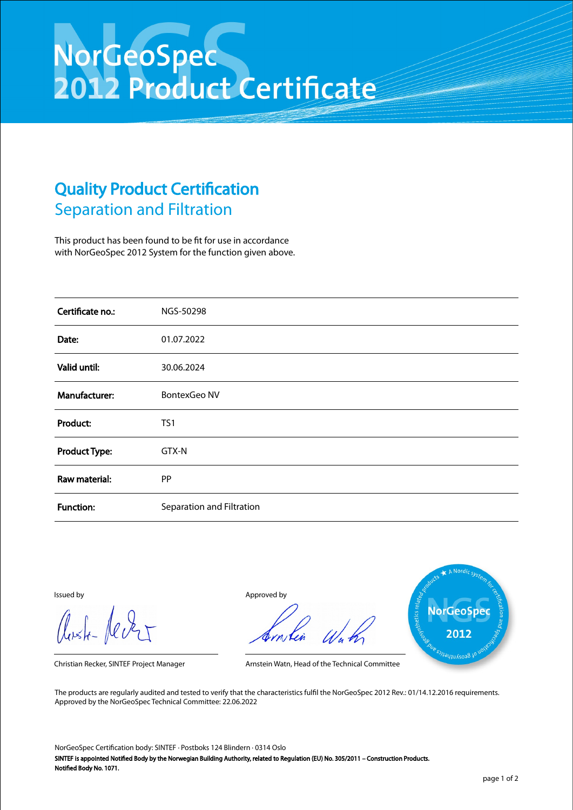## NorGeoSpec<br>2012 Product Certificate

## Quality Product Certification Separation and Filtration

This product has been found to be fit for use in accordance with NorGeoSpec 2012 System for the function given above.

| Certificate no.:     | NGS-50298                 |
|----------------------|---------------------------|
| Date:                | 01.07.2022                |
| Valid until:         | 30.06.2024                |
| Manufacturer:        | <b>BontexGeo NV</b>       |
| Product:             | TS1                       |
| <b>Product Type:</b> | GTX-N                     |
| Raw material:        | PP                        |
| <b>Function:</b>     | Separation and Filtration |

Aust-Jever

Issued by Approved by



Christian Recker, SINTEF Project Manager Arnstein Watn, Head of the Technical Committee

The products are regularly audited and tested to verify that the characteristics fulfil the NorGeoSpec 2012 Rev.: 01/14.12.2016 requirements. Approved by the NorGeoSpec Technical Committee: 22.06.2022